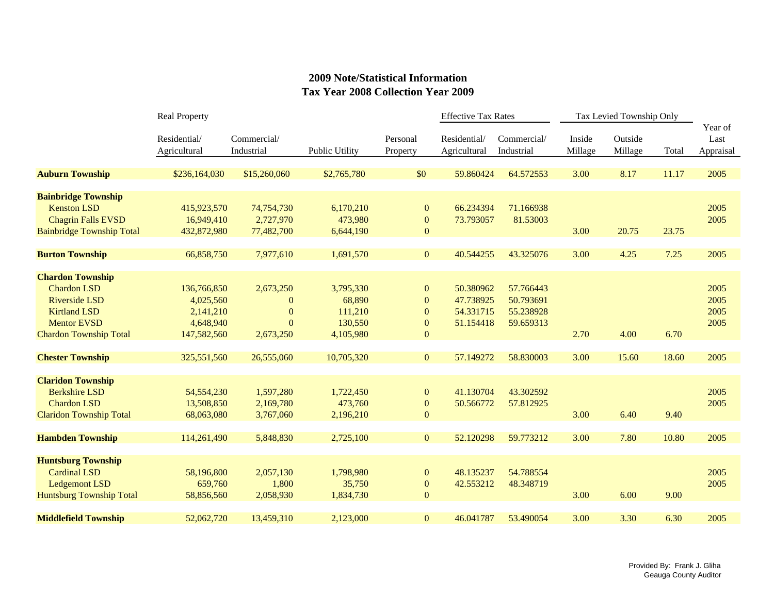## **2009 Note/Statistical Information Tax Year 2008 Collection Year 2009**

|                                                                                                                                                                                                            | <b>Real Property</b>                                                             |                                                                                      | <b>Effective Tax Rates</b>                                           |                                                                                            | Tax Levied Township Only                                      |                                                               |                   |                    |               |                                      |
|------------------------------------------------------------------------------------------------------------------------------------------------------------------------------------------------------------|----------------------------------------------------------------------------------|--------------------------------------------------------------------------------------|----------------------------------------------------------------------|--------------------------------------------------------------------------------------------|---------------------------------------------------------------|---------------------------------------------------------------|-------------------|--------------------|---------------|--------------------------------------|
|                                                                                                                                                                                                            | Residential/<br>Agricultural                                                     | Commercial/<br>Industrial                                                            | Public Utility                                                       | Personal<br>Property                                                                       | Residential/<br>Agricultural                                  | Commercial/<br>Industrial                                     | Inside<br>Millage | Outside<br>Millage | Total         | Year of<br>Last<br>Appraisal         |
| <b>Auburn Township</b>                                                                                                                                                                                     | \$236,164,030                                                                    | \$15,260,060                                                                         | \$2,765,780                                                          | \$0                                                                                        | 59.860424                                                     | 64.572553                                                     | 3.00              | 8.17               | 11.17         | 2005                                 |
| <b>Bainbridge Township</b><br><b>Kenston LSD</b><br><b>Chagrin Falls EVSD</b><br><b>Bainbridge Township Total</b>                                                                                          | 415,923,570<br>16,949,410<br>432,872,980                                         | 74,754,730<br>2,727,970<br>77,482,700                                                | 6,170,210<br>473,980<br>6,644,190                                    | $\mathbf{0}$<br>$\mathbf{0}$<br>$\mathbf{0}$                                               | 66.234394<br>73.793057                                        | 71.166938<br>81.53003                                         | 3.00              | 20.75              | 23.75         | 2005<br>2005                         |
| <b>Burton Township</b>                                                                                                                                                                                     | 66,858,750                                                                       | 7,977,610                                                                            | 1,691,570                                                            | $\mathbf{0}$                                                                               | 40.544255                                                     | 43.325076                                                     | 3.00              | 4.25               | 7.25          | 2005                                 |
| <b>Chardon Township</b><br><b>Chardon LSD</b><br><b>Riverside LSD</b><br><b>Kirtland LSD</b><br><b>Mentor EVSD</b><br><b>Chardon Township Total</b><br><b>Chester Township</b><br><b>Claridon Township</b> | 136,766,850<br>4,025,560<br>2,141,210<br>4,648,940<br>147,582,560<br>325,551,560 | 2,673,250<br>$\mathbf{0}$<br>$\mathbf{0}$<br>$\mathbf{0}$<br>2,673,250<br>26,555,060 | 3,795,330<br>68,890<br>111,210<br>130,550<br>4,105,980<br>10,705,320 | $\mathbf{0}$<br>$\mathbf{0}$<br>$\mathbf{0}$<br>$\mathbf{0}$<br>$\Omega$<br>$\overline{0}$ | 50.380962<br>47.738925<br>54.331715<br>51.154418<br>57.149272 | 57.766443<br>50.793691<br>55.238928<br>59.659313<br>58.830003 | 2.70<br>3.00      | 4.00<br>15.60      | 6.70<br>18.60 | 2005<br>2005<br>2005<br>2005<br>2005 |
| <b>Berkshire LSD</b><br><b>Chardon LSD</b><br><b>Claridon Township Total</b>                                                                                                                               | 54,554,230<br>13,508,850<br>68,063,080                                           | 1,597,280<br>2,169,780<br>3,767,060                                                  | 1,722,450<br>473,760<br>2,196,210                                    | $\bf{0}$<br>$\mathbf{0}$<br>$\overline{0}$                                                 | 41.130704<br>50.566772                                        | 43.302592<br>57.812925                                        | 3.00              | 6.40               | 9.40          | 2005<br>2005                         |
| <b>Hambden Township</b>                                                                                                                                                                                    | 114,261,490                                                                      | 5,848,830                                                                            | 2,725,100                                                            | $\mathbf{0}$                                                                               | 52.120298                                                     | 59.773212                                                     | 3.00              | 7.80               | 10.80         | 2005                                 |
| <b>Huntsburg Township</b><br><b>Cardinal LSD</b><br><b>Ledgemont LSD</b><br><b>Huntsburg Township Total</b>                                                                                                | 58,196,800<br>659,760<br>58,856,560                                              | 2,057,130<br>1,800<br>2,058,930                                                      | 1,798,980<br>35,750<br>1,834,730                                     | $\mathbf{0}$<br>$\mathbf{0}$<br>$\mathbf{0}$                                               | 48.135237<br>42.553212                                        | 54.788554<br>48.348719                                        | 3.00              | 6.00               | 9.00          | 2005<br>2005                         |
| <b>Middlefield Township</b>                                                                                                                                                                                | 52,062,720                                                                       | 13,459,310                                                                           | 2,123,000                                                            | $\mathbf{0}$                                                                               | 46.041787                                                     | 53.490054                                                     | 3.00              | 3.30               | 6.30          | 2005                                 |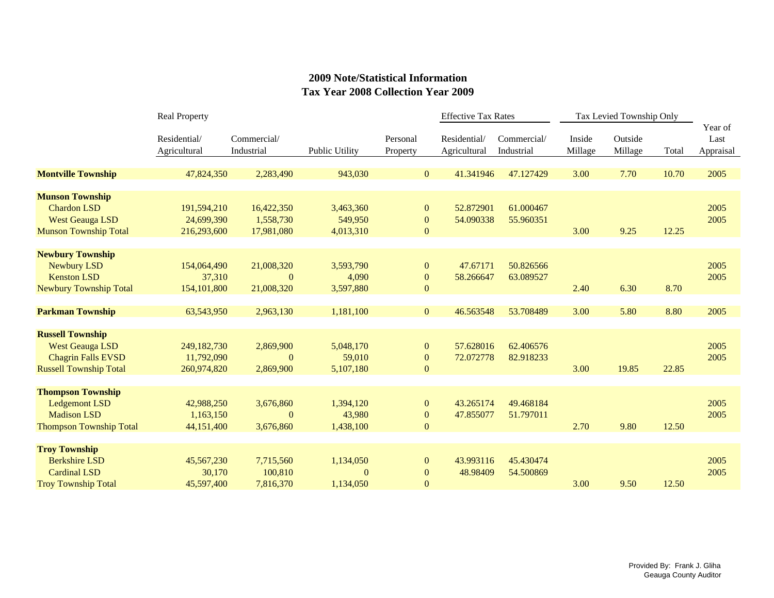## **2009 Note/Statistical Information Tax Year 2008 Collection Year 2009**

|                                                                                                                 | Real Property                            |                                            |                                        |                                                  | <b>Effective Tax Rates</b>   |                           | Tax Levied Township Only |                    |       |                              |
|-----------------------------------------------------------------------------------------------------------------|------------------------------------------|--------------------------------------------|----------------------------------------|--------------------------------------------------|------------------------------|---------------------------|--------------------------|--------------------|-------|------------------------------|
|                                                                                                                 | Residential/<br>Agricultural             | Commercial/<br>Industrial                  | Public Utility                         | Personal<br>Property                             | Residential/<br>Agricultural | Commercial/<br>Industrial | Inside<br>Millage        | Outside<br>Millage | Total | Year of<br>Last<br>Appraisal |
| <b>Montville Township</b>                                                                                       | 47,824,350                               | 2,283,490                                  | 943,030                                | $\overline{0}$                                   | 41.341946                    | 47.127429                 | 3.00                     | 7.70               | 10.70 | 2005                         |
| <b>Munson Township</b><br><b>Chardon LSD</b><br><b>West Geauga LSD</b><br><b>Munson Township Total</b>          | 191,594,210<br>24,699,390<br>216,293,600 | 16,422,350<br>1,558,730<br>17,981,080      | 3,463,360<br>549,950<br>4,013,310      | $\mathbf{0}$<br>$\mathbf{0}$<br>$\mathbf{0}$     | 52.872901<br>54.090338       | 61.000467<br>55.960351    | 3.00                     | 9.25               | 12.25 | 2005<br>2005                 |
| <b>Newbury Township</b><br><b>Newbury LSD</b><br><b>Kenston LSD</b><br><b>Newbury Township Total</b>            | 154,064,490<br>37,310<br>154,101,800     | 21,008,320<br>$\overline{0}$<br>21,008,320 | 3,593,790<br>4,090<br>3,597,880        | $\mathbf{0}$<br>$\boldsymbol{0}$<br>$\mathbf{0}$ | 47.67171<br>58.266647        | 50.826566<br>63.089527    | 2.40                     | 6.30               | 8.70  | 2005<br>2005                 |
| <b>Parkman Township</b>                                                                                         | 63,543,950                               | 2,963,130                                  | 1,181,100                              | $\mathbf{0}$                                     | 46.563548                    | 53.708489                 | 3.00                     | 5.80               | 8.80  | 2005                         |
| <b>Russell Township</b><br><b>West Geauga LSD</b><br><b>Chagrin Falls EVSD</b><br><b>Russell Township Total</b> | 249,182,730<br>11,792,090<br>260,974,820 | 2,869,900<br>$\overline{0}$<br>2,869,900   | 5,048,170<br>59,010<br>5,107,180       | $\mathbf{0}$<br>$\mathbf{0}$<br>$\mathbf{0}$     | 57.628016<br>72.072778       | 62.406576<br>82.918233    | 3.00                     | 19.85              | 22.85 | 2005<br>2005                 |
| <b>Thompson Township</b><br><b>Ledgemont LSD</b><br><b>Madison LSD</b><br><b>Thompson Township Total</b>        | 42,988,250<br>1,163,150<br>44,151,400    | 3,676,860<br>$\overline{0}$<br>3,676,860   | 1,394,120<br>43,980<br>1,438,100       | $\mathbf{0}$<br>$\mathbf{0}$<br>$\mathbf{0}$     | 43.265174<br>47.855077       | 49.468184<br>51.797011    | 2.70                     | 9.80               | 12.50 | 2005<br>2005                 |
| <b>Troy Township</b><br><b>Berkshire LSD</b><br><b>Cardinal LSD</b><br><b>Troy Township Total</b>               | 45,567,230<br>30,170<br>45,597,400       | 7,715,560<br>100,810<br>7,816,370          | 1,134,050<br>$\mathbf{0}$<br>1,134,050 | $\mathbf{0}$<br>$\mathbf{0}$<br>$\mathbf{0}$     | 43.993116<br>48.98409        | 45.430474<br>54.500869    | 3.00                     | 9.50               | 12.50 | 2005<br>2005                 |